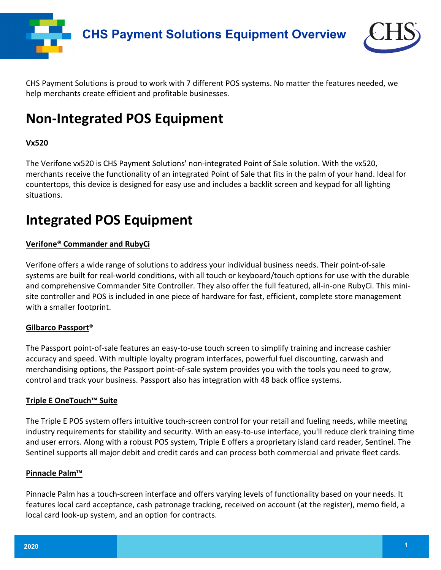



CHS Payment Solutions is proud to work with 7 different POS systems. No matter the features needed, we help merchants create efficient and profitable businesses.

# **Non-Integrated POS Equipment**

### **Vx520**

The Verifone vx520 is CHS Payment Solutions' non-integrated Point of Sale solution. With the vx520, merchants receive the functionality of an integrated Point of Sale that fits in the palm of your hand. Ideal for countertops, this device is designed for easy use and includes a backlit screen and keypad for all lighting situations.

# **Integrated POS Equipment**

### **Verifone® Commander and RubyCi**

Verifone offers a wide range of solutions to address your individual business needs. Their point-of-sale systems are built for real-world conditions, with all touch or keyboard/touch options for use with the durable and comprehensive Commander Site Controller. They also offer the full featured, all-in-one RubyCi. This minisite controller and POS is included in one piece of hardware for fast, efficient, complete store management with a smaller footprint.

#### **Gilbarco Passport**®

The Passport point-of-sale features an easy-to-use touch screen to simplify training and increase cashier accuracy and speed. With multiple loyalty program interfaces, powerful fuel discounting, carwash and merchandising options, the Passport point-of-sale system provides you with the tools you need to grow, control and track your business. Passport also has integration with 48 back office systems.

#### **Triple E OneTouch™ Suite**

The Triple E POS system offers intuitive touch-screen control for your retail and fueling needs, while meeting industry requirements for stability and security. With an easy-to-use interface, you'll reduce clerk training time and user errors. Along with a robust POS system, Triple E offers a proprietary island card reader, Sentinel. The Sentinel supports all major debit and credit cards and can process both commercial and private fleet cards.

#### **Pinnacle Palm™**

Pinnacle Palm has a touch-screen interface and offers varying levels of functionality based on your needs. It features local card acceptance, cash patronage tracking, received on account (at the register), memo field, a local card look-up system, and an option for contracts.